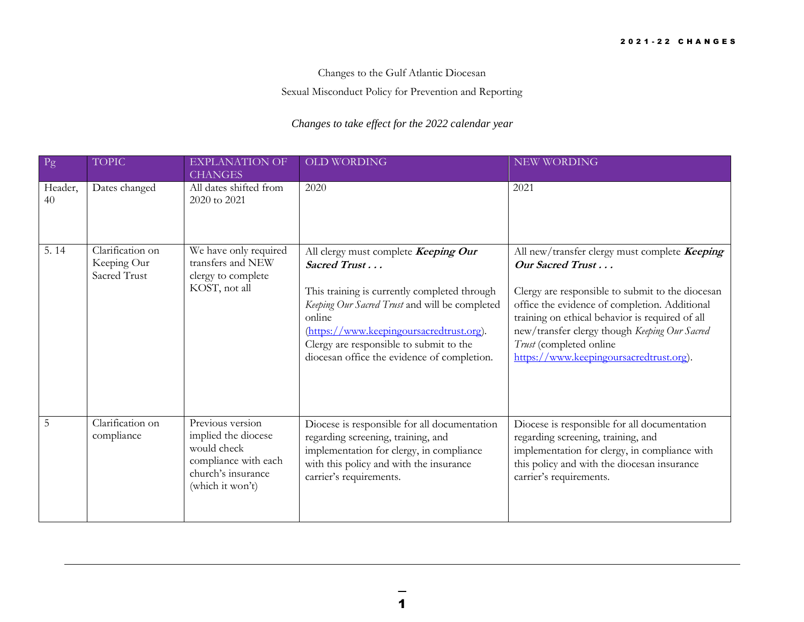Changes to the Gulf Atlantic Diocesan

Sexual Misconduct Policy for Prevention and Reporting

## *Changes to take effect for the 2022 calendar year*

| Pg            | <b>TOPIC</b>                                    | <b>EXPLANATION OF</b><br><b>CHANGES</b>                                                                                  | OLD WORDING                                                                                                                                                                                                                                                                                            | NEW WORDING                                                                                                                                                                                                                                                                                                                                      |
|---------------|-------------------------------------------------|--------------------------------------------------------------------------------------------------------------------------|--------------------------------------------------------------------------------------------------------------------------------------------------------------------------------------------------------------------------------------------------------------------------------------------------------|--------------------------------------------------------------------------------------------------------------------------------------------------------------------------------------------------------------------------------------------------------------------------------------------------------------------------------------------------|
| Header,<br>40 | Dates changed                                   | All dates shifted from<br>2020 to 2021                                                                                   | 2020                                                                                                                                                                                                                                                                                                   | 2021                                                                                                                                                                                                                                                                                                                                             |
| 5.14          | Clarification on<br>Keeping Our<br>Sacred Trust | We have only required<br>transfers and NEW<br>clergy to complete<br>KOST, not all                                        | All clergy must complete Keeping Our<br>Sacred Trust<br>This training is currently completed through<br>Keeping Our Sacred Trust and will be completed<br>online<br>(https://www.keepingoursacredtrust.org).<br>Clergy are responsible to submit to the<br>diocesan office the evidence of completion. | All new/transfer clergy must complete Keeping<br>Our Sacred Trust<br>Clergy are responsible to submit to the diocesan<br>office the evidence of completion. Additional<br>training on ethical behavior is required of all<br>new/transfer clergy though Keeping Our Sacred<br>Trust (completed online<br>https://www.keepingoursacredtrust.org). |
| 5             | Clarification on<br>compliance                  | Previous version<br>implied the diocese<br>would check<br>compliance with each<br>church's insurance<br>(which it won't) | Diocese is responsible for all documentation<br>regarding screening, training, and<br>implementation for clergy, in compliance<br>with this policy and with the insurance<br>carrier's requirements.                                                                                                   | Diocese is responsible for all documentation<br>regarding screening, training, and<br>implementation for clergy, in compliance with<br>this policy and with the diocesan insurance<br>carrier's requirements.                                                                                                                                    |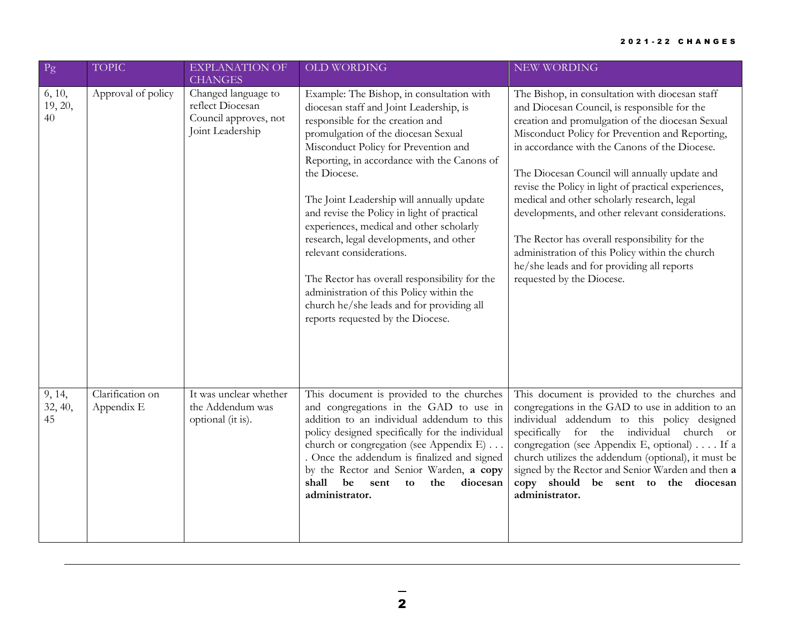| Pg                      | <b>TOPIC</b>                   | <b>EXPLANATION OF</b><br><b>CHANGES</b>                                              | <b>OLD WORDING</b>                                                                                                                                                                                                                                                                                                                                                                                                                                                                                                                                                                                                                                                   | <b>NEW WORDING</b>                                                                                                                                                                                                                                                                                                                                                                                                                                                                                                                                                                                                                                 |
|-------------------------|--------------------------------|--------------------------------------------------------------------------------------|----------------------------------------------------------------------------------------------------------------------------------------------------------------------------------------------------------------------------------------------------------------------------------------------------------------------------------------------------------------------------------------------------------------------------------------------------------------------------------------------------------------------------------------------------------------------------------------------------------------------------------------------------------------------|----------------------------------------------------------------------------------------------------------------------------------------------------------------------------------------------------------------------------------------------------------------------------------------------------------------------------------------------------------------------------------------------------------------------------------------------------------------------------------------------------------------------------------------------------------------------------------------------------------------------------------------------------|
| 6, 10,<br>19, 20,<br>40 | Approval of policy             | Changed language to<br>reflect Diocesan<br>Council approves, not<br>Joint Leadership | Example: The Bishop, in consultation with<br>diocesan staff and Joint Leadership, is<br>responsible for the creation and<br>promulgation of the diocesan Sexual<br>Misconduct Policy for Prevention and<br>Reporting, in accordance with the Canons of<br>the Diocese.<br>The Joint Leadership will annually update<br>and revise the Policy in light of practical<br>experiences, medical and other scholarly<br>research, legal developments, and other<br>relevant considerations.<br>The Rector has overall responsibility for the<br>administration of this Policy within the<br>church he/she leads and for providing all<br>reports requested by the Diocese. | The Bishop, in consultation with diocesan staff<br>and Diocesan Council, is responsible for the<br>creation and promulgation of the diocesan Sexual<br>Misconduct Policy for Prevention and Reporting,<br>in accordance with the Canons of the Diocese.<br>The Diocesan Council will annually update and<br>revise the Policy in light of practical experiences,<br>medical and other scholarly research, legal<br>developments, and other relevant considerations.<br>The Rector has overall responsibility for the<br>administration of this Policy within the church<br>he/she leads and for providing all reports<br>requested by the Diocese. |
| 9, 14,<br>32, 40,<br>45 | Clarification on<br>Appendix E | It was unclear whether<br>the Addendum was<br>optional (it is).                      | This document is provided to the churches<br>and congregations in the GAD to use in<br>addition to an individual addendum to this<br>policy designed specifically for the individual<br>church or congregation (see Appendix E)<br>Once the addendum is finalized and signed<br>by the Rector and Senior Warden, a copy<br>shall<br>be<br>sent<br>the<br>diocesan<br>to<br>administrator.                                                                                                                                                                                                                                                                            | This document is provided to the churches and<br>congregations in the GAD to use in addition to an<br>individual addendum to this policy designed<br>specifically for the individual church or<br>congregation (see Appendix E, optional) If a<br>church utilizes the addendum (optional), it must be<br>signed by the Rector and Senior Warden and then a<br>copy should be sent to the diocesan<br>administrator.                                                                                                                                                                                                                                |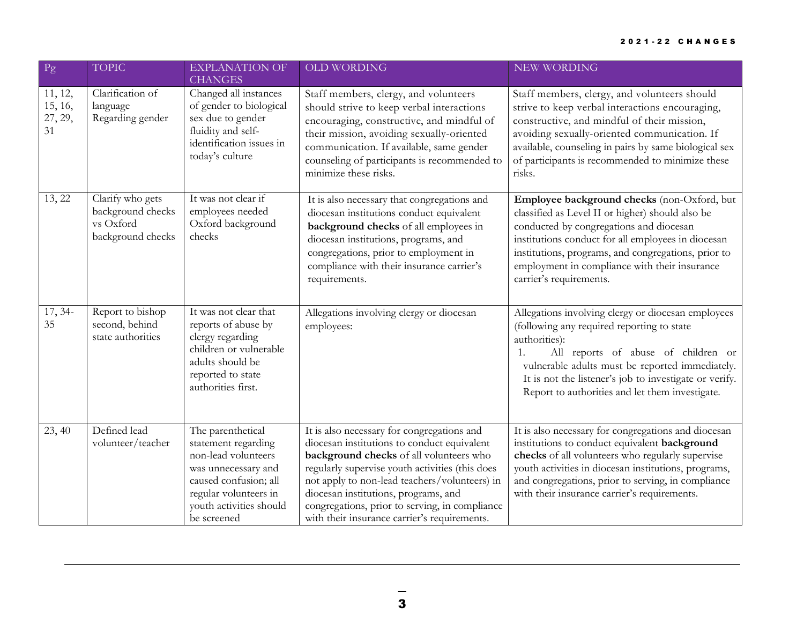| Pg                                  | <b>TOPIC</b>                                                            | <b>EXPLANATION OF</b><br><b>CHANGES</b>                                                                                                                                            | <b>OLD WORDING</b>                                                                                                                                                                                                                                                                                                                                                                 | NEW WORDING                                                                                                                                                                                                                                                                                                                         |
|-------------------------------------|-------------------------------------------------------------------------|------------------------------------------------------------------------------------------------------------------------------------------------------------------------------------|------------------------------------------------------------------------------------------------------------------------------------------------------------------------------------------------------------------------------------------------------------------------------------------------------------------------------------------------------------------------------------|-------------------------------------------------------------------------------------------------------------------------------------------------------------------------------------------------------------------------------------------------------------------------------------------------------------------------------------|
| 11, 12,<br>15, 16,<br>27, 29,<br>31 | Clarification of<br>language<br>Regarding gender                        | Changed all instances<br>of gender to biological<br>sex due to gender<br>fluidity and self-<br>identification issues in<br>today's culture                                         | Staff members, clergy, and volunteers<br>should strive to keep verbal interactions<br>encouraging, constructive, and mindful of<br>their mission, avoiding sexually-oriented<br>communication. If available, same gender<br>counseling of participants is recommended to<br>minimize these risks.                                                                                  | Staff members, clergy, and volunteers should<br>strive to keep verbal interactions encouraging,<br>constructive, and mindful of their mission,<br>avoiding sexually-oriented communication. If<br>available, counseling in pairs by same biological sex<br>of participants is recommended to minimize these<br>risks.               |
| 13, 22                              | Clarify who gets<br>background checks<br>vs Oxford<br>background checks | It was not clear if<br>employees needed<br>Oxford background<br>checks                                                                                                             | It is also necessary that congregations and<br>diocesan institutions conduct equivalent<br>background checks of all employees in<br>diocesan institutions, programs, and<br>congregations, prior to employment in<br>compliance with their insurance carrier's<br>requirements.                                                                                                    | Employee background checks (non-Oxford, but<br>classified as Level II or higher) should also be<br>conducted by congregations and diocesan<br>institutions conduct for all employees in diocesan<br>institutions, programs, and congregations, prior to<br>employment in compliance with their insurance<br>carrier's requirements. |
| $17, 34-$<br>35                     | Report to bishop<br>second, behind<br>state authorities                 | It was not clear that<br>reports of abuse by<br>clergy regarding<br>children or vulnerable<br>adults should be<br>reported to state<br>authorities first.                          | Allegations involving clergy or diocesan<br>employees:                                                                                                                                                                                                                                                                                                                             | Allegations involving clergy or diocesan employees<br>(following any required reporting to state<br>authorities):<br>1.<br>All reports of abuse of children or<br>vulnerable adults must be reported immediately.<br>It is not the listener's job to investigate or verify.<br>Report to authorities and let them investigate.      |
| 23, 40                              | Defined lead<br>volunteer/teacher                                       | The parenthetical<br>statement regarding<br>non-lead volunteers<br>was unnecessary and<br>caused confusion; all<br>regular volunteers in<br>youth activities should<br>be screened | It is also necessary for congregations and<br>diocesan institutions to conduct equivalent<br>background checks of all volunteers who<br>regularly supervise youth activities (this does<br>not apply to non-lead teachers/volunteers) in<br>diocesan institutions, programs, and<br>congregations, prior to serving, in compliance<br>with their insurance carrier's requirements. | It is also necessary for congregations and diocesan<br>institutions to conduct equivalent background<br>checks of all volunteers who regularly supervise<br>youth activities in diocesan institutions, programs,<br>and congregations, prior to serving, in compliance<br>with their insurance carrier's requirements.              |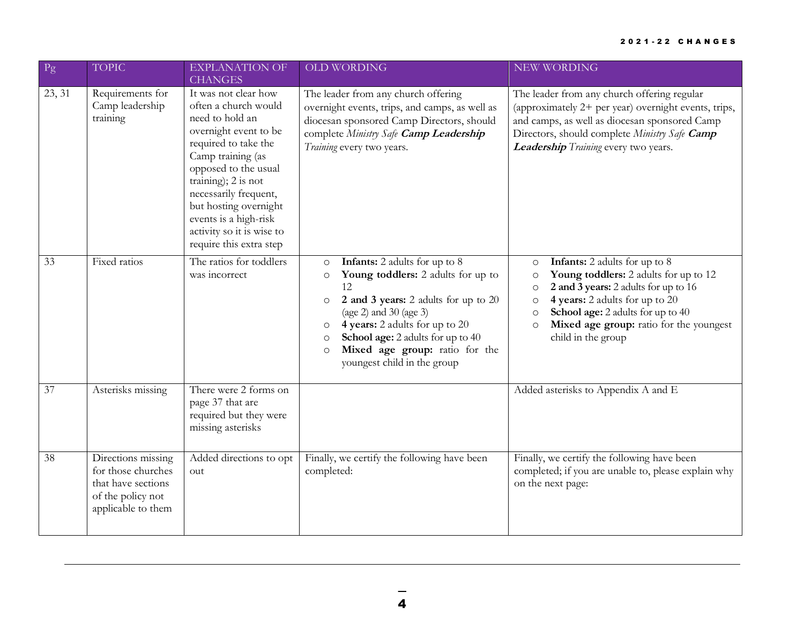## 2 0 2 1 - 2 2 C H A N G E S

| $\mathbf{P}\mathbf{g}$ | <b>TOPIC</b>                                                                                              | <b>EXPLANATION OF</b><br><b>CHANGES</b>                                                                                                                                                                                                                                                                                 | <b>OLD WORDING</b>                                                                                                                                                                                                                                                                                                                                             | NEW WORDING                                                                                                                                                                                                                                                                                                               |
|------------------------|-----------------------------------------------------------------------------------------------------------|-------------------------------------------------------------------------------------------------------------------------------------------------------------------------------------------------------------------------------------------------------------------------------------------------------------------------|----------------------------------------------------------------------------------------------------------------------------------------------------------------------------------------------------------------------------------------------------------------------------------------------------------------------------------------------------------------|---------------------------------------------------------------------------------------------------------------------------------------------------------------------------------------------------------------------------------------------------------------------------------------------------------------------------|
| 23, 31                 | Requirements for<br>Camp leadership<br>training                                                           | It was not clear how<br>often a church would<br>need to hold an<br>overnight event to be<br>required to take the<br>Camp training (as<br>opposed to the usual<br>training); 2 is not<br>necessarily frequent,<br>but hosting overnight<br>events is a high-risk<br>activity so it is wise to<br>require this extra step | The leader from any church offering<br>overnight events, trips, and camps, as well as<br>diocesan sponsored Camp Directors, should<br>complete Ministry Safe Camp Leadership<br>Training every two years.                                                                                                                                                      | The leader from any church offering regular<br>(approximately 2+ per year) overnight events, trips,<br>and camps, as well as diocesan sponsored Camp<br>Directors, should complete Ministry Safe Camp<br>Leadership Training every two years.                                                                             |
| 33                     | Fixed ratios                                                                                              | The ratios for toddlers<br>was incorrect                                                                                                                                                                                                                                                                                | <b>Infants:</b> 2 adults for up to 8<br>$\circ$<br>Young toddlers: 2 adults for up to<br>$\circ$<br>12<br>2 and 3 years: 2 adults for up to 20<br>$\circ$<br>(age 2) and $30$ (age 3)<br>4 years: 2 adults for up to 20<br>$\circ$<br>School age: 2 adults for up to 40<br>$\circ$<br>Mixed age group: ratio for the<br>$\circ$<br>youngest child in the group | <b>Infants:</b> 2 adults for up to 8<br>$\circ$<br>Young toddlers: 2 adults for up to 12<br>$\circ$<br>2 and 3 years: 2 adults for up to 16<br>$\circ$<br>4 years: 2 adults for up to 20<br>O<br>School age: 2 adults for up to 40<br>$\circ$<br>Mixed age group: ratio for the youngest<br>$\circ$<br>child in the group |
| 37                     | Asterisks missing                                                                                         | There were 2 forms on<br>page 37 that are<br>required but they were<br>missing asterisks                                                                                                                                                                                                                                |                                                                                                                                                                                                                                                                                                                                                                | Added asterisks to Appendix A and E                                                                                                                                                                                                                                                                                       |
| 38                     | Directions missing<br>for those churches<br>that have sections<br>of the policy not<br>applicable to them | Added directions to opt<br>out                                                                                                                                                                                                                                                                                          | Finally, we certify the following have been<br>completed:                                                                                                                                                                                                                                                                                                      | Finally, we certify the following have been<br>completed; if you are unable to, please explain why<br>on the next page:                                                                                                                                                                                                   |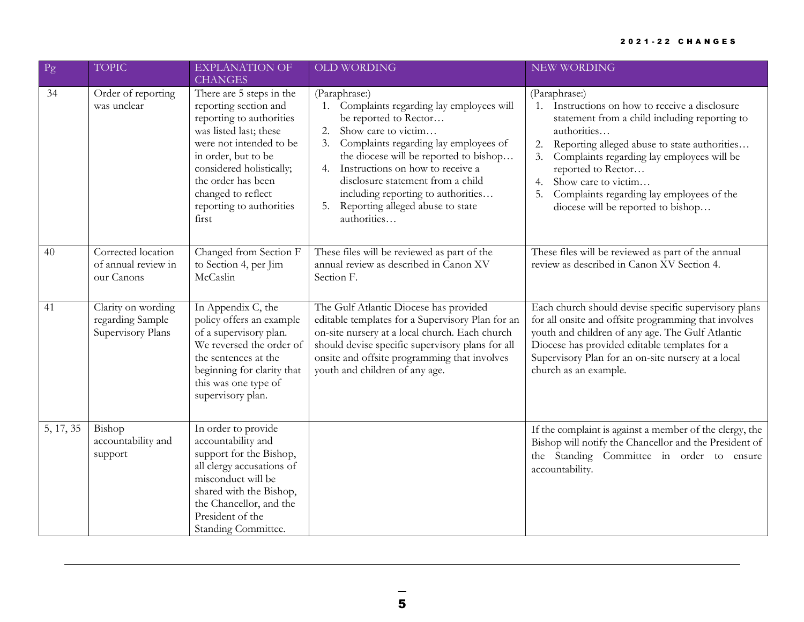## 2 0 2 1 - 2 2 C H A N G E S

| Pg        | <b>TOPIC</b>                                                | <b>EXPLANATION OF</b><br><b>CHANGES</b>                                                                                                                                                                                                                                | <b>OLD WORDING</b>                                                                                                                                                                                                                                                                                                                                                                    | NEW WORDING                                                                                                                                                                                                                                                                                                                                                                  |
|-----------|-------------------------------------------------------------|------------------------------------------------------------------------------------------------------------------------------------------------------------------------------------------------------------------------------------------------------------------------|---------------------------------------------------------------------------------------------------------------------------------------------------------------------------------------------------------------------------------------------------------------------------------------------------------------------------------------------------------------------------------------|------------------------------------------------------------------------------------------------------------------------------------------------------------------------------------------------------------------------------------------------------------------------------------------------------------------------------------------------------------------------------|
| 34        | Order of reporting<br>was unclear                           | There are 5 steps in the<br>reporting section and<br>reporting to authorities<br>was listed last; these<br>were not intended to be<br>in order, but to be<br>considered holistically;<br>the order has been<br>changed to reflect<br>reporting to authorities<br>first | (Paraphrase:)<br>Complaints regarding lay employees will<br>be reported to Rector<br>Show care to victim<br>2.<br>Complaints regarding lay employees of<br>3.<br>the diocese will be reported to bishop<br>Instructions on how to receive a<br>4.<br>disclosure statement from a child<br>including reporting to authorities<br>Reporting alleged abuse to state<br>5.<br>authorities | (Paraphrase:)<br>Instructions on how to receive a disclosure<br>1.<br>statement from a child including reporting to<br>authorities<br>Reporting alleged abuse to state authorities<br>2.<br>Complaints regarding lay employees will be<br>reported to Rector<br>Show care to victim<br>4.<br>Complaints regarding lay employees of the<br>diocese will be reported to bishop |
| 40        | Corrected location<br>of annual review in<br>our Canons     | Changed from Section F<br>to Section 4, per Jim<br>McCaslin                                                                                                                                                                                                            | These files will be reviewed as part of the<br>annual review as described in Canon XV<br>Section F.                                                                                                                                                                                                                                                                                   | These files will be reviewed as part of the annual<br>review as described in Canon XV Section 4.                                                                                                                                                                                                                                                                             |
| 41        | Clarity on wording<br>regarding Sample<br>Supervisory Plans | In Appendix C, the<br>policy offers an example<br>of a supervisory plan.<br>We reversed the order of<br>the sentences at the<br>beginning for clarity that<br>this was one type of<br>supervisory plan.                                                                | The Gulf Atlantic Diocese has provided<br>editable templates for a Supervisory Plan for an<br>on-site nursery at a local church. Each church<br>should devise specific supervisory plans for all<br>onsite and offsite programming that involves<br>youth and children of any age.                                                                                                    | Each church should devise specific supervisory plans<br>for all onsite and offsite programming that involves<br>youth and children of any age. The Gulf Atlantic<br>Diocese has provided editable templates for a<br>Supervisory Plan for an on-site nursery at a local<br>church as an example.                                                                             |
| 5, 17, 35 | Bishop<br>accountability and<br>support                     | In order to provide<br>accountability and<br>support for the Bishop,<br>all clergy accusations of<br>misconduct will be<br>shared with the Bishop,<br>the Chancellor, and the<br>President of the<br>Standing Committee.                                               |                                                                                                                                                                                                                                                                                                                                                                                       | If the complaint is against a member of the clergy, the<br>Bishop will notify the Chancellor and the President of<br>the Standing Committee in order to ensure<br>accountability.                                                                                                                                                                                            |